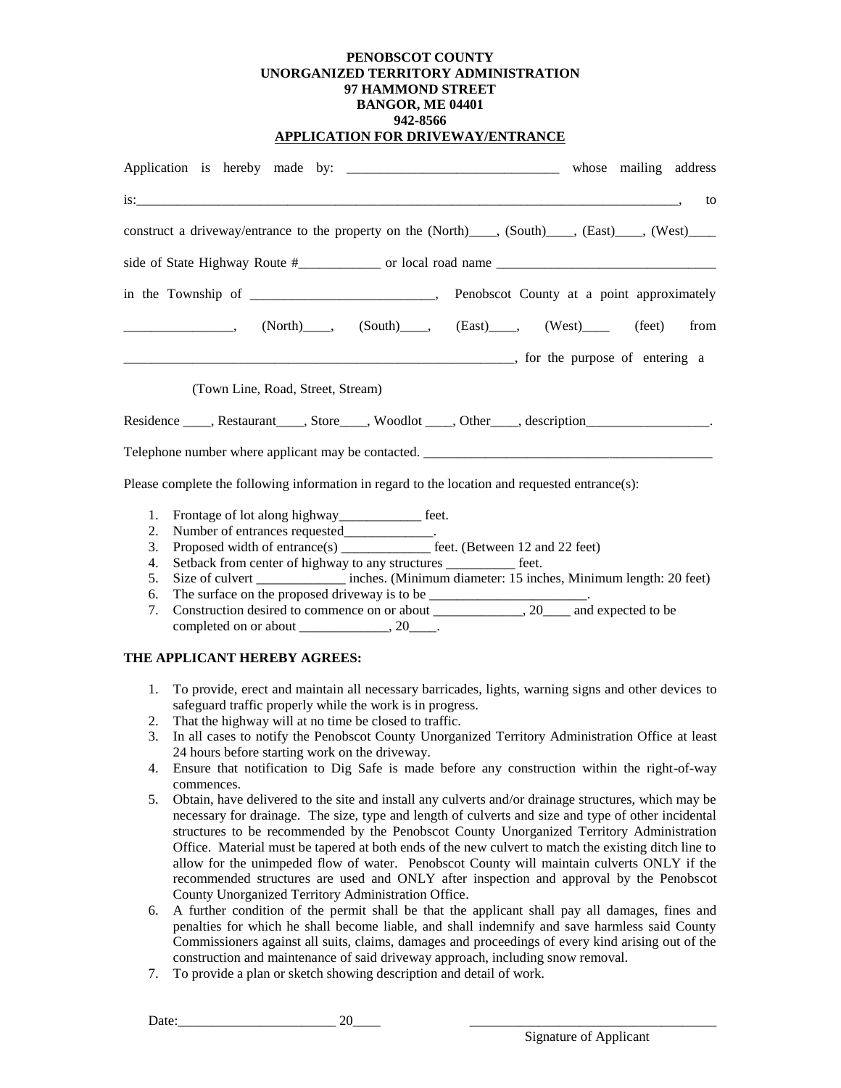## **PENOBSCOT COUNTY UNORGANIZED TERRITORY ADMINISTRATION 97 HAMMOND STREET BANGOR, ME 04401 942-8566 APPLICATION FOR DRIVEWAY/ENTRANCE**

|                                                                                                                                                                                                                         | whose mailing address |
|-------------------------------------------------------------------------------------------------------------------------------------------------------------------------------------------------------------------------|-----------------------|
|                                                                                                                                                                                                                         | to                    |
| construct a driveway/entrance to the property on the (North) (South), (East), (West)                                                                                                                                    |                       |
|                                                                                                                                                                                                                         |                       |
|                                                                                                                                                                                                                         |                       |
| $\begin{array}{ccccccccc}\n & & & & & & & \\ \hline\n & & & & & & & \\ \hline\n & & & & & & & \\ \hline\n & & & & & & & \\ \hline\n & & & & & & & \\ \end{array}$ (North), (South), (East), (West), (West), (feet) from |                       |
|                                                                                                                                                                                                                         |                       |
| (Town Line, Road, Street, Stream)                                                                                                                                                                                       |                       |
| Residence _____, Restaurant _____, Store ____, Woodlot _____, Other ____, description ____________________.                                                                                                             |                       |
| Telephone number where applicant may be contacted. ______________________________                                                                                                                                       |                       |
| Please complete the following information in regard to the location and requested entrance(s):                                                                                                                          |                       |

- 1. Frontage of lot along highway\_\_\_\_\_\_\_\_\_\_\_\_ feet.
- 2. Number of entrances requested\_\_\_\_\_\_\_\_\_\_\_\_\_.
- 3. Proposed width of entrance(s) \_\_\_\_\_\_\_\_\_\_\_\_\_ feet. (Between 12 and 22 feet)
- 4. Setback from center of highway to any structures \_\_\_\_\_\_\_\_\_\_ feet.
- 5. Size of culvert \_\_\_\_\_\_\_\_\_\_\_\_\_ inches. (Minimum diameter: 15 inches, Minimum length: 20 feet)
- 6. The surface on the proposed driveway is to be \_\_\_\_\_\_\_\_\_\_\_\_\_\_\_\_\_\_\_\_\_\_\_.
- 7. Construction desired to commence on or about \_\_\_\_\_\_\_\_\_\_\_\_\_, 20\_\_\_\_ and expected to be completed on or about  $\frac{\ }{\ }$ , 20 $\frac{\ }{\ }$ .

## **THE APPLICANT HEREBY AGREES:**

- 1. To provide, erect and maintain all necessary barricades, lights, warning signs and other devices to safeguard traffic properly while the work is in progress.
- 2. That the highway will at no time be closed to traffic.
- 3. In all cases to notify the Penobscot County Unorganized Territory Administration Office at least 24 hours before starting work on the driveway.
- 4. Ensure that notification to Dig Safe is made before any construction within the right-of-way commences.
- 5. Obtain, have delivered to the site and install any culverts and/or drainage structures, which may be necessary for drainage. The size, type and length of culverts and size and type of other incidental structures to be recommended by the Penobscot County Unorganized Territory Administration Office. Material must be tapered at both ends of the new culvert to match the existing ditch line to allow for the unimpeded flow of water. Penobscot County will maintain culverts ONLY if the recommended structures are used and ONLY after inspection and approval by the Penobscot County Unorganized Territory Administration Office.
- 6. A further condition of the permit shall be that the applicant shall pay all damages, fines and penalties for which he shall become liable, and shall indemnify and save harmless said County Commissioners against all suits, claims, damages and proceedings of every kind arising out of the construction and maintenance of said driveway approach, including snow removal.
- 7. To provide a plan or sketch showing description and detail of work.

Date: 20